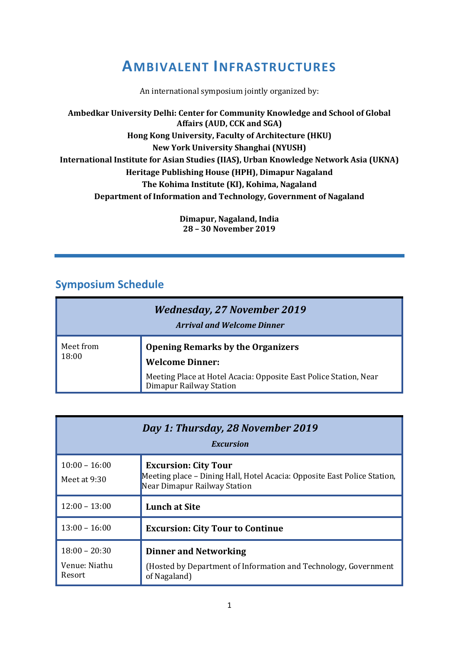## **AMBIVALENT INFRASTRUCTURES**

An international symposium jointly organized by:

**Ambedkar University Delhi: Center for Community Knowledge and School of Global Affairs (AUD, CCK and SGA) Hong Kong University, Faculty of Architecture (HKU) New York University Shanghai (NYUSH) International Institute for Asian Studies (IIAS), Urban Knowledge Network Asia (UKNA) Heritage Publishing House (HPH), Dimapur Nagaland The Kohima Institute (KI), Kohima, Nagaland Department of Information and Technology, Government of Nagaland**

> **Dimapur, Nagaland, India 28 – 30 November 2019**

## **Symposium Schedule**

| <b>Wednesday, 27 November 2019</b><br><b>Arrival and Welcome Dinner</b> |                                                                                                                                                                 |
|-------------------------------------------------------------------------|-----------------------------------------------------------------------------------------------------------------------------------------------------------------|
| Meet from<br>18:00                                                      | <b>Opening Remarks by the Organizers</b><br><b>Welcome Dinner:</b><br>Meeting Place at Hotel Acacia: Opposite East Police Station, Near Dimapur Railway Station |

| Day 1: Thursday, 28 November 2019<br><i><b>Excursion</b></i> |                                                                                                                                         |  |
|--------------------------------------------------------------|-----------------------------------------------------------------------------------------------------------------------------------------|--|
| $10:00 - 16:00$<br>Meet at $9:30$                            | <b>Excursion: City Tour</b><br>Meeting place – Dining Hall, Hotel Acacia: Opposite East Police Station,<br>Near Dimapur Railway Station |  |
| $12:00 - 13:00$                                              | <b>Lunch at Site</b>                                                                                                                    |  |
| $13:00 - 16:00$                                              | <b>Excursion: City Tour to Continue</b>                                                                                                 |  |
| $18:00 - 20:30$<br>Venue: Niathu<br>Resort                   | <b>Dinner and Networking</b><br>(Hosted by Department of Information and Technology, Government<br>of Nagaland)                         |  |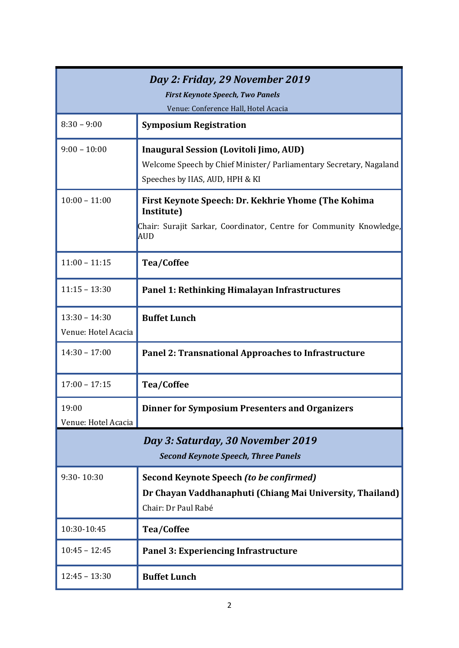| Day 2: Friday, 29 November 2019<br><b>First Keynote Speech, Two Panels</b><br>Venue: Conference Hall, Hotel Acacia |                                                                                                                                                          |  |
|--------------------------------------------------------------------------------------------------------------------|----------------------------------------------------------------------------------------------------------------------------------------------------------|--|
| $8:30 - 9:00$                                                                                                      | <b>Symposium Registration</b>                                                                                                                            |  |
| $9:00 - 10:00$                                                                                                     | <b>Inaugural Session (Lovitoli Jimo, AUD)</b><br>Welcome Speech by Chief Minister / Parliamentary Secretary, Nagaland<br>Speeches by IIAS, AUD, HPH & KI |  |
| $10:00 - 11:00$                                                                                                    | First Keynote Speech: Dr. Kekhrie Yhome (The Kohima<br>Institute)<br>Chair: Surajit Sarkar, Coordinator, Centre for Community Knowledge,<br><b>AUD</b>   |  |
| $11:00 - 11:15$                                                                                                    | <b>Tea/Coffee</b>                                                                                                                                        |  |
| $11:15 - 13:30$                                                                                                    | Panel 1: Rethinking Himalayan Infrastructures                                                                                                            |  |
| $13:30 - 14:30$<br>Venue: Hotel Acacia                                                                             | <b>Buffet Lunch</b>                                                                                                                                      |  |
| $14:30 - 17:00$                                                                                                    | <b>Panel 2: Transnational Approaches to Infrastructure</b>                                                                                               |  |
| $17:00 - 17:15$                                                                                                    | Tea/Coffee                                                                                                                                               |  |
| 19:00<br>Venue: Hotel Acacia                                                                                       | <b>Dinner for Symposium Presenters and Organizers</b>                                                                                                    |  |
| Day 3: Saturday, 30 November 2019<br><b>Second Keynote Speech, Three Panels</b>                                    |                                                                                                                                                          |  |
| 9:30-10:30                                                                                                         | Second Keynote Speech (to be confirmed)<br>Dr Chayan Vaddhanaphuti (Chiang Mai University, Thailand)<br>Chair: Dr Paul Rabé                              |  |
| 10:30-10:45                                                                                                        | <b>Tea/Coffee</b>                                                                                                                                        |  |
| $10:45 - 12:45$                                                                                                    | Panel 3: Experiencing Infrastructure                                                                                                                     |  |
| $12:45 - 13:30$                                                                                                    | <b>Buffet Lunch</b>                                                                                                                                      |  |